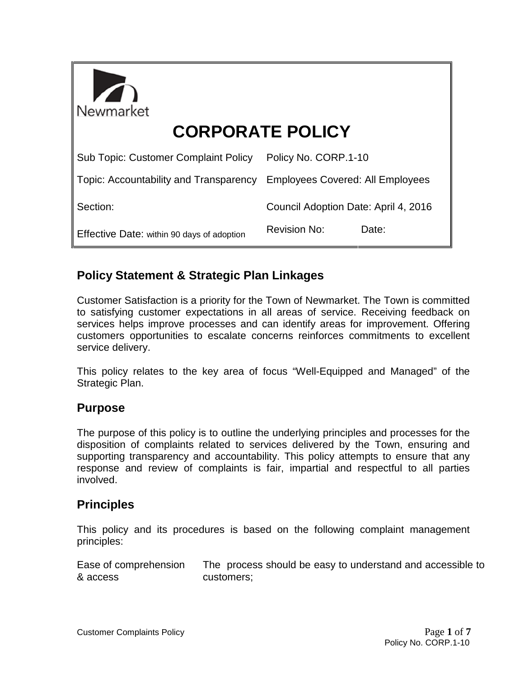| Newmarket                                   |                                         |
|---------------------------------------------|-----------------------------------------|
| <b>CORPORATE POLICY</b>                     |                                         |
| <b>Sub Topic: Customer Complaint Policy</b> | Policy No. CORP.1-10                    |
| Topic: Accountability and Transparency      | <b>Employees Covered: All Employees</b> |
| Section:                                    | Council Adoption Date: April 4, 2016    |
| Effective Date: within 90 days of adoption  | <b>Revision No:</b><br>Date:            |

# **Policy Statement & Strategic Plan Linkages**

Customer Satisfaction is a priority for the Town of Newmarket. The Town is committed to satisfying customer expectations in all areas of service. Receiving feedback on services helps improve processes and can identify areas for improvement. Offering customers opportunities to escalate concerns reinforces commitments to excellent service delivery.

This policy relates to the key area of focus "Well-Equipped and Managed" of the Strategic Plan.

## **Purpose**

The purpose of this policy is to outline the underlying principles and processes for the disposition of complaints related to services delivered by the Town, ensuring and supporting transparency and accountability. This policy attempts to ensure that any response and review of complaints is fair, impartial and respectful to all parties involved.

## **Principles**

This policy and its procedures is based on the following complaint management principles:

Ease of comprehension & access The process should be easy to understand and accessible to customers;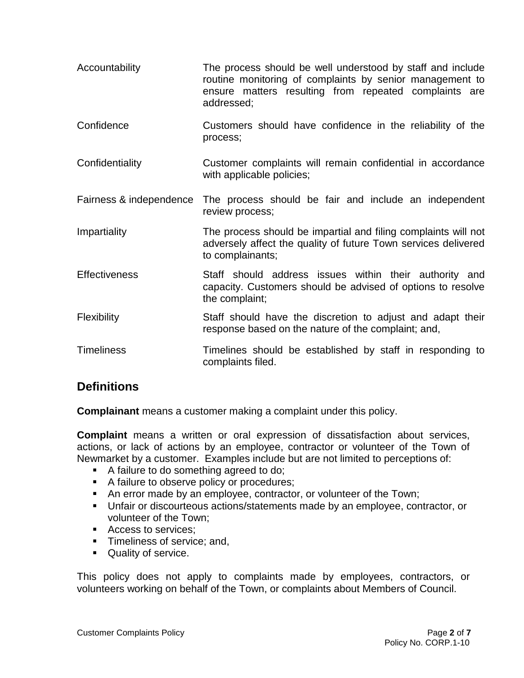- Accountability The process should be well understood by staff and include routine monitoring of complaints by senior management to ensure matters resulting from repeated complaints are addressed;
- Confidence Customers should have confidence in the reliability of the process;
- Confidentiality Customer complaints will remain confidential in accordance with applicable policies;
- Fairness & independence The process should be fair and include an independent review process;
- Impartiality The process should be impartial and filing complaints will not adversely affect the quality of future Town services delivered to complainants;
- Effectiveness Staff should address issues within their authority and capacity. Customers should be advised of options to resolve the complaint;
- Flexibility **Staff should have the discretion to adjust and adapt their** response based on the nature of the complaint; and,
- Timeliness Timelines should be established by staff in responding to complaints filed.

## **Definitions**

**Complainant** means a customer making a complaint under this policy.

**Complaint** means a written or oral expression of dissatisfaction about services, actions, or lack of actions by an employee, contractor or volunteer of the Town of Newmarket by a customer. Examples include but are not limited to perceptions of:

- A failure to do something agreed to do;
- A failure to observe policy or procedures;
- An error made by an employee, contractor, or volunteer of the Town;
- Unfair or discourteous actions/statements made by an employee, contractor, or volunteer of the Town;
- Access to services:
- **Timeliness of service; and,**
- **Quality of service.**

This policy does not apply to complaints made by employees, contractors, or volunteers working on behalf of the Town, or complaints about Members of Council.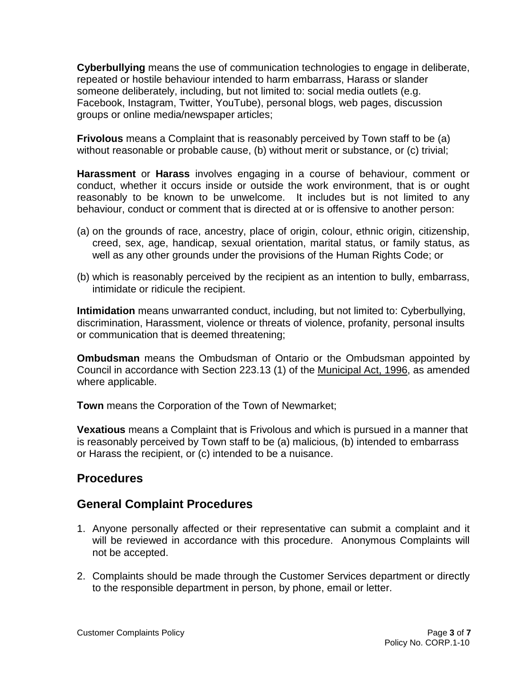**Cyberbullying** means the use of communication technologies to engage in deliberate, repeated or hostile behaviour intended to harm embarrass, Harass or slander someone deliberately, including, but not limited to: social media outlets (e.g. Facebook, Instagram, Twitter, YouTube), personal blogs, web pages, discussion groups or online media/newspaper articles;

**Frivolous** means a Complaint that is reasonably perceived by Town staff to be (a) without reasonable or probable cause, (b) without merit or substance, or (c) trivial;

**Harassment** or **Harass** involves engaging in a course of behaviour, comment or conduct, whether it occurs inside or outside the work environment, that is or ought reasonably to be known to be unwelcome. It includes but is not limited to any behaviour, conduct or comment that is directed at or is offensive to another person:

- (a) on the grounds of race, ancestry, place of origin, colour, ethnic origin, citizenship, creed, sex, age, handicap, sexual orientation, marital status, or family status, as well as any other grounds under the provisions of the Human Rights Code; or
- (b) which is reasonably perceived by the recipient as an intention to bully, embarrass, intimidate or ridicule the recipient.

**Intimidation** means unwarranted conduct, including, but not limited to: Cyberbullying, discrimination, Harassment, violence or threats of violence, profanity, personal insults or communication that is deemed threatening;

**Ombudsman** means the Ombudsman of Ontario or the Ombudsman appointed by Council in accordance with Section 223.13 (1) of the Municipal Act, 1996, as amended where applicable.

**Town** means the Corporation of the Town of Newmarket;

**Vexatious** means a Complaint that is Frivolous and which is pursued in a manner that is reasonably perceived by Town staff to be (a) malicious, (b) intended to embarrass or Harass the recipient, or (c) intended to be a nuisance.

### **Procedures**

### **General Complaint Procedures**

- 1. Anyone personally affected or their representative can submit a complaint and it will be reviewed in accordance with this procedure. Anonymous Complaints will not be accepted.
- 2. Complaints should be made through the Customer Services department or directly to the responsible department in person, by phone, email or letter.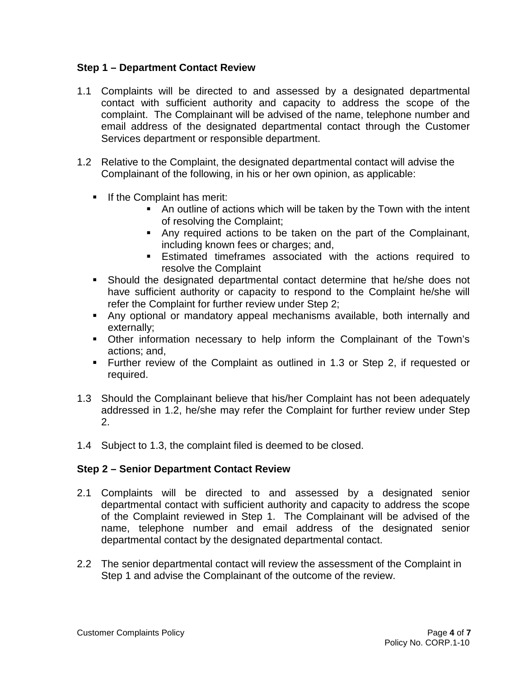#### **Step 1 – Department Contact Review**

- 1.1 Complaints will be directed to and assessed by a designated departmental contact with sufficient authority and capacity to address the scope of the complaint. The Complainant will be advised of the name, telephone number and email address of the designated departmental contact through the Customer Services department or responsible department.
- 1.2 Relative to the Complaint, the designated departmental contact will advise the Complainant of the following, in his or her own opinion, as applicable:
	- **If the Complaint has merit:** 
		- An outline of actions which will be taken by the Town with the intent of resolving the Complaint;
		- Any required actions to be taken on the part of the Complainant, including known fees or charges; and,
		- Estimated timeframes associated with the actions required to resolve the Complaint
	- Should the designated departmental contact determine that he/she does not have sufficient authority or capacity to respond to the Complaint he/she will refer the Complaint for further review under Step 2;
	- Any optional or mandatory appeal mechanisms available, both internally and externally;
	- Other information necessary to help inform the Complainant of the Town's actions; and,
	- Further review of the Complaint as outlined in 1.3 or Step 2, if requested or required.
- 1.3 Should the Complainant believe that his/her Complaint has not been adequately addressed in 1.2, he/she may refer the Complaint for further review under Step 2.
- 1.4 Subject to 1.3, the complaint filed is deemed to be closed.

#### **Step 2 – Senior Department Contact Review**

- 2.1 Complaints will be directed to and assessed by a designated senior departmental contact with sufficient authority and capacity to address the scope of the Complaint reviewed in Step 1. The Complainant will be advised of the name, telephone number and email address of the designated senior departmental contact by the designated departmental contact.
- 2.2 The senior departmental contact will review the assessment of the Complaint in Step 1 and advise the Complainant of the outcome of the review.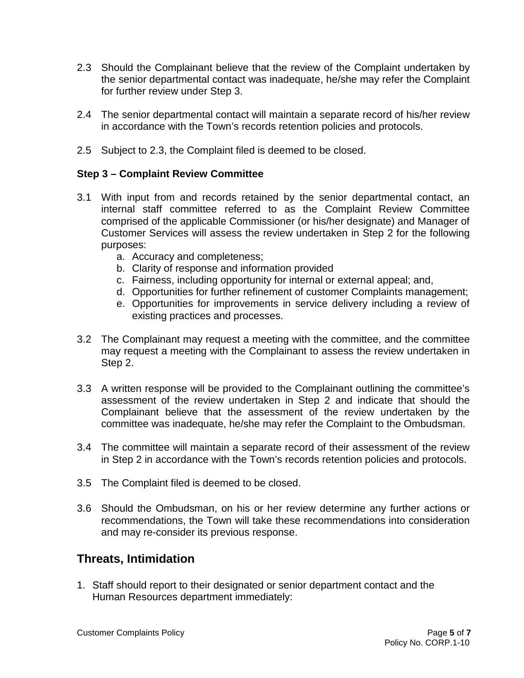- 2.3 Should the Complainant believe that the review of the Complaint undertaken by the senior departmental contact was inadequate, he/she may refer the Complaint for further review under Step 3.
- 2.4 The senior departmental contact will maintain a separate record of his/her review in accordance with the Town's records retention policies and protocols.
- 2.5 Subject to 2.3, the Complaint filed is deemed to be closed.

#### **Step 3 – Complaint Review Committee**

- 3.1 With input from and records retained by the senior departmental contact, an internal staff committee referred to as the Complaint Review Committee comprised of the applicable Commissioner (or his/her designate) and Manager of Customer Services will assess the review undertaken in Step 2 for the following purposes:
	- a. Accuracy and completeness;
	- b. Clarity of response and information provided
	- c. Fairness, including opportunity for internal or external appeal; and,
	- d. Opportunities for further refinement of customer Complaints management;
	- e. Opportunities for improvements in service delivery including a review of existing practices and processes.
- 3.2 The Complainant may request a meeting with the committee, and the committee may request a meeting with the Complainant to assess the review undertaken in Step 2.
- 3.3 A written response will be provided to the Complainant outlining the committee's assessment of the review undertaken in Step 2 and indicate that should the Complainant believe that the assessment of the review undertaken by the committee was inadequate, he/she may refer the Complaint to the Ombudsman.
- 3.4 The committee will maintain a separate record of their assessment of the review in Step 2 in accordance with the Town's records retention policies and protocols.
- 3.5 The Complaint filed is deemed to be closed.
- 3.6 Should the Ombudsman, on his or her review determine any further actions or recommendations, the Town will take these recommendations into consideration and may re-consider its previous response.

## **Threats, Intimidation**

1. Staff should report to their designated or senior department contact and the Human Resources department immediately: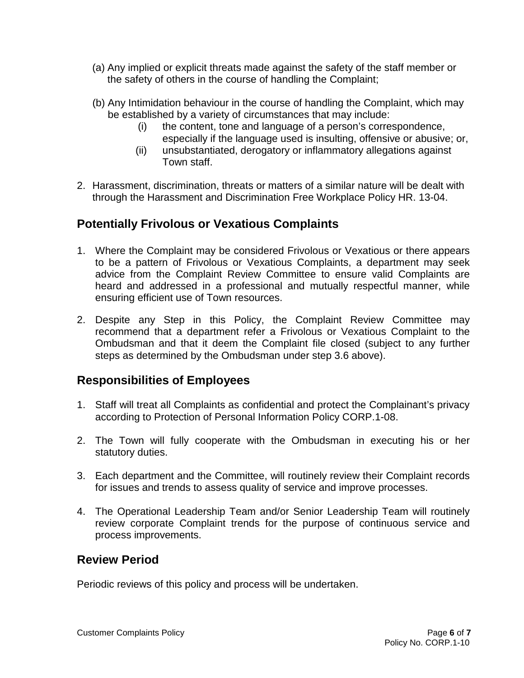- (a) Any implied or explicit threats made against the safety of the staff member or the safety of others in the course of handling the Complaint;
- (b) Any Intimidation behaviour in the course of handling the Complaint, which may be established by a variety of circumstances that may include:
	- (i) the content, tone and language of a person's correspondence, especially if the language used is insulting, offensive or abusive; or,
	- (ii) unsubstantiated, derogatory or inflammatory allegations against Town staff.
- 2. Harassment, discrimination, threats or matters of a similar nature will be dealt with through the Harassment and Discrimination Free Workplace Policy HR. 13-04.

## **Potentially Frivolous or Vexatious Complaints**

- 1. Where the Complaint may be considered Frivolous or Vexatious or there appears to be a pattern of Frivolous or Vexatious Complaints, a department may seek advice from the Complaint Review Committee to ensure valid Complaints are heard and addressed in a professional and mutually respectful manner, while ensuring efficient use of Town resources.
- 2. Despite any Step in this Policy, the Complaint Review Committee may recommend that a department refer a Frivolous or Vexatious Complaint to the Ombudsman and that it deem the Complaint file closed (subject to any further steps as determined by the Ombudsman under step 3.6 above).

## **Responsibilities of Employees**

- 1. Staff will treat all Complaints as confidential and protect the Complainant's privacy according to Protection of Personal Information Policy CORP.1-08.
- 2. The Town will fully cooperate with the Ombudsman in executing his or her statutory duties.
- 3. Each department and the Committee, will routinely review their Complaint records for issues and trends to assess quality of service and improve processes.
- 4. The Operational Leadership Team and/or Senior Leadership Team will routinely review corporate Complaint trends for the purpose of continuous service and process improvements.

### **Review Period**

Periodic reviews of this policy and process will be undertaken.